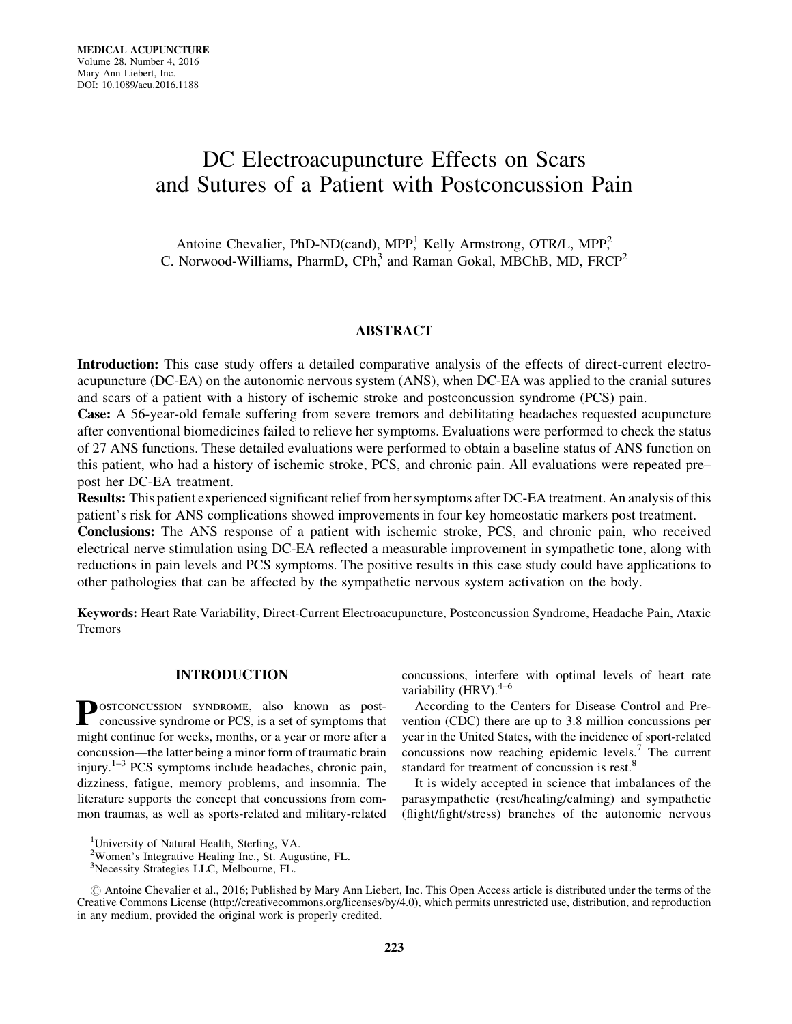# DC Electroacupuncture Effects on Scars and Sutures of a Patient with Postconcussion Pain

Antoine Chevalier, PhD-ND(cand), MPP, Kelly Armstrong, OTR/L, MPP, C. Norwood-Williams, PharmD, CPh<sup>3</sup> and Raman Gokal, MBChB, MD,  $FRCP<sup>2</sup>$ 

# ABSTRACT

Introduction: This case study offers a detailed comparative analysis of the effects of direct-current electroacupuncture (DC-EA) on the autonomic nervous system (ANS), when DC-EA was applied to the cranial sutures and scars of a patient with a history of ischemic stroke and postconcussion syndrome (PCS) pain.

Case: A 56-year-old female suffering from severe tremors and debilitating headaches requested acupuncture after conventional biomedicines failed to relieve her symptoms. Evaluations were performed to check the status of 27 ANS functions. These detailed evaluations were performed to obtain a baseline status of ANS function on this patient, who had a history of ischemic stroke, PCS, and chronic pain. All evaluations were repeated pre– post her DC-EA treatment.

Results: This patient experienced significant relief from her symptoms after DC-EA treatment. An analysis of this patient's risk for ANS complications showed improvements in four key homeostatic markers post treatment.

Conclusions: The ANS response of a patient with ischemic stroke, PCS, and chronic pain, who received electrical nerve stimulation using DC-EA reflected a measurable improvement in sympathetic tone, along with reductions in pain levels and PCS symptoms. The positive results in this case study could have applications to other pathologies that can be affected by the sympathetic nervous system activation on the body.

Keywords: Heart Rate Variability, Direct-Current Electroacupuncture, Postconcussion Syndrome, Headache Pain, Ataxic Tremors

variability  $(HRV).^{4-6}$ 

concussions, interfere with optimal levels of heart rate

standard for treatment of concussion is rest.<sup>8</sup>

According to the Centers for Disease Control and Prevention (CDC) there are up to 3.8 million concussions per year in the United States, with the incidence of sport-related concussions now reaching epidemic levels.<sup>7</sup> The current

It is widely accepted in science that imbalances of the parasympathetic (rest/healing/calming) and sympathetic (flight/fight/stress) branches of the autonomic nervous

# INTRODUCTION

Postconcussion syndrome, also known as postconcussive syndrome or PCS, is a set of symptoms that might continue for weeks, months, or a year or more after a concussion—the latter being a minor form of traumatic brain injury.<sup>1–3</sup> PCS symptoms include headaches, chronic pain, dizziness, fatigue, memory problems, and insomnia. The literature supports the concept that concussions from common traumas, as well as sports-related and military-related

<sup>&</sup>lt;sup>1</sup>University of Natural Health, Sterling, VA.

<sup>2</sup> Women's Integrative Healing Inc., St. Augustine, FL.

<sup>&</sup>lt;sup>3</sup>Necessity Strategies LLC, Melbourne, FL.

 $\odot$  Antoine Chevalier et al., 2016; Published by Mary Ann Liebert, Inc. This Open Access article is distributed under the terms of the Creative Commons License (http://creativecommons.org/licenses/by/4.0), which permits unrestricted use, distribution, and reproduction in any medium, provided the original work is properly credited.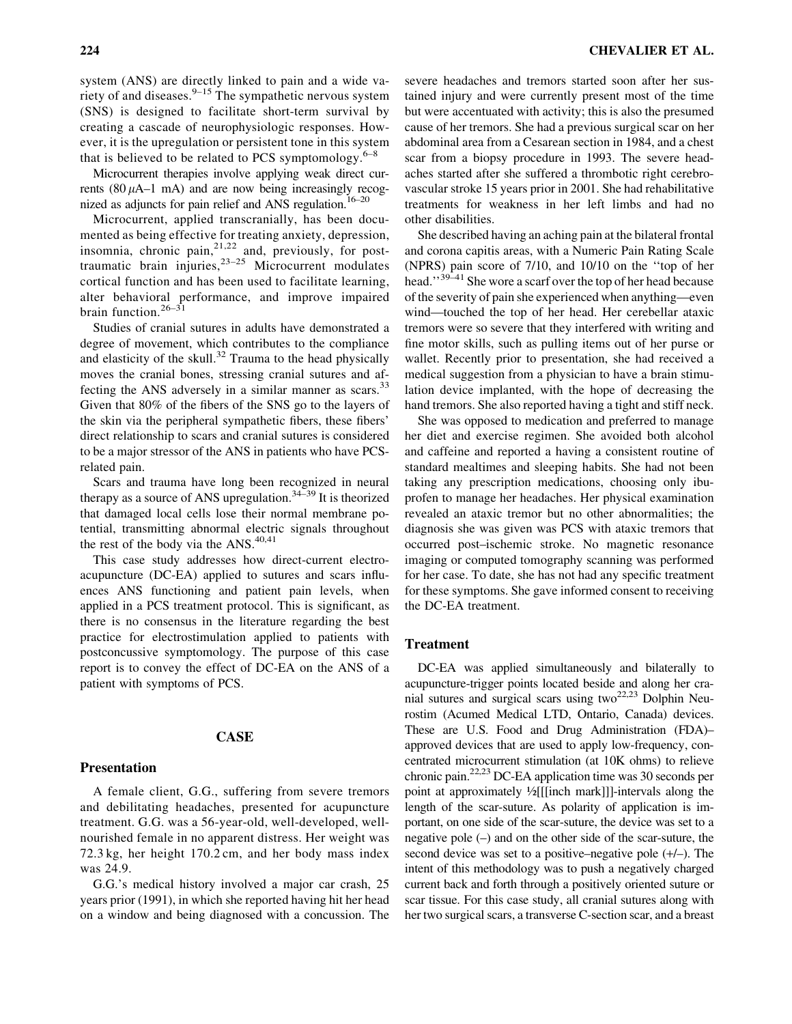system (ANS) are directly linked to pain and a wide variety of and diseases. $9-15$  The sympathetic nervous system (SNS) is designed to facilitate short-term survival by creating a cascade of neurophysiologic responses. However, it is the upregulation or persistent tone in this system that is believed to be related to PCS symptomology. $6-8$ 

Microcurrent therapies involve applying weak direct currents  $(80 \mu A-1 \text{ mA})$  and are now being increasingly recognized as adjuncts for pain relief and ANS regulation.<sup>16–20</sup>

Microcurrent, applied transcranially, has been documented as being effective for treating anxiety, depression, insomnia, chronic pain, $2^{1,22}$  and, previously, for posttraumatic brain injuries,  $23-25$  Microcurrent modulates cortical function and has been used to facilitate learning, alter behavioral performance, and improve impaired brain function.<sup>26–31</sup>

Studies of cranial sutures in adults have demonstrated a degree of movement, which contributes to the compliance and elasticity of the skull.<sup>32</sup> Trauma to the head physically moves the cranial bones, stressing cranial sutures and affecting the ANS adversely in a similar manner as scars.<sup>33</sup> Given that 80% of the fibers of the SNS go to the layers of the skin via the peripheral sympathetic fibers, these fibers' direct relationship to scars and cranial sutures is considered to be a major stressor of the ANS in patients who have PCSrelated pain.

Scars and trauma have long been recognized in neural therapy as a source of ANS upregulation.<sup>34–39</sup> It is theorized that damaged local cells lose their normal membrane potential, transmitting abnormal electric signals throughout the rest of the body via the  $ANS.^{40,41}$ 

This case study addresses how direct-current electroacupuncture (DC-EA) applied to sutures and scars influences ANS functioning and patient pain levels, when applied in a PCS treatment protocol. This is significant, as there is no consensus in the literature regarding the best practice for electrostimulation applied to patients with postconcussive symptomology. The purpose of this case report is to convey the effect of DC-EA on the ANS of a patient with symptoms of PCS.

#### CASE

# Presentation

A female client, G.G., suffering from severe tremors and debilitating headaches, presented for acupuncture treatment. G.G. was a 56-year-old, well-developed, wellnourished female in no apparent distress. Her weight was 72.3 kg, her height 170.2 cm, and her body mass index was 24.9.

G.G.'s medical history involved a major car crash, 25 years prior (1991), in which she reported having hit her head on a window and being diagnosed with a concussion. The severe headaches and tremors started soon after her sustained injury and were currently present most of the time but were accentuated with activity; this is also the presumed cause of her tremors. She had a previous surgical scar on her abdominal area from a Cesarean section in 1984, and a chest scar from a biopsy procedure in 1993. The severe headaches started after she suffered a thrombotic right cerebrovascular stroke 15 years prior in 2001. She had rehabilitative treatments for weakness in her left limbs and had no other disabilities.

She described having an aching pain at the bilateral frontal and corona capitis areas, with a Numeric Pain Rating Scale (NPRS) pain score of 7/10, and 10/10 on the ''top of her head."<sup>39-41</sup> She wore a scarf over the top of her head because of the severity of pain she experienced when anything—even wind—touched the top of her head. Her cerebellar ataxic tremors were so severe that they interfered with writing and fine motor skills, such as pulling items out of her purse or wallet. Recently prior to presentation, she had received a medical suggestion from a physician to have a brain stimulation device implanted, with the hope of decreasing the hand tremors. She also reported having a tight and stiff neck.

She was opposed to medication and preferred to manage her diet and exercise regimen. She avoided both alcohol and caffeine and reported a having a consistent routine of standard mealtimes and sleeping habits. She had not been taking any prescription medications, choosing only ibuprofen to manage her headaches. Her physical examination revealed an ataxic tremor but no other abnormalities; the diagnosis she was given was PCS with ataxic tremors that occurred post–ischemic stroke. No magnetic resonance imaging or computed tomography scanning was performed for her case. To date, she has not had any specific treatment for these symptoms. She gave informed consent to receiving the DC-EA treatment.

#### Treatment

DC-EA was applied simultaneously and bilaterally to acupuncture-trigger points located beside and along her cranial sutures and surgical scars using two $22,23$  Dolphin Neurostim (Acumed Medical LTD, Ontario, Canada) devices. These are U.S. Food and Drug Administration (FDA)– approved devices that are used to apply low-frequency, concentrated microcurrent stimulation (at 10K ohms) to relieve chronic pain.22,23 DC-EA application time was 30 seconds per point at approximately ½[[[inch mark]]]-intervals along the length of the scar-suture. As polarity of application is important, on one side of the scar-suture, the device was set to a negative pole (–) and on the other side of the scar-suture, the second device was set to a positive–negative pole (+/–). The intent of this methodology was to push a negatively charged current back and forth through a positively oriented suture or scar tissue. For this case study, all cranial sutures along with her two surgical scars, a transverse C-section scar, and a breast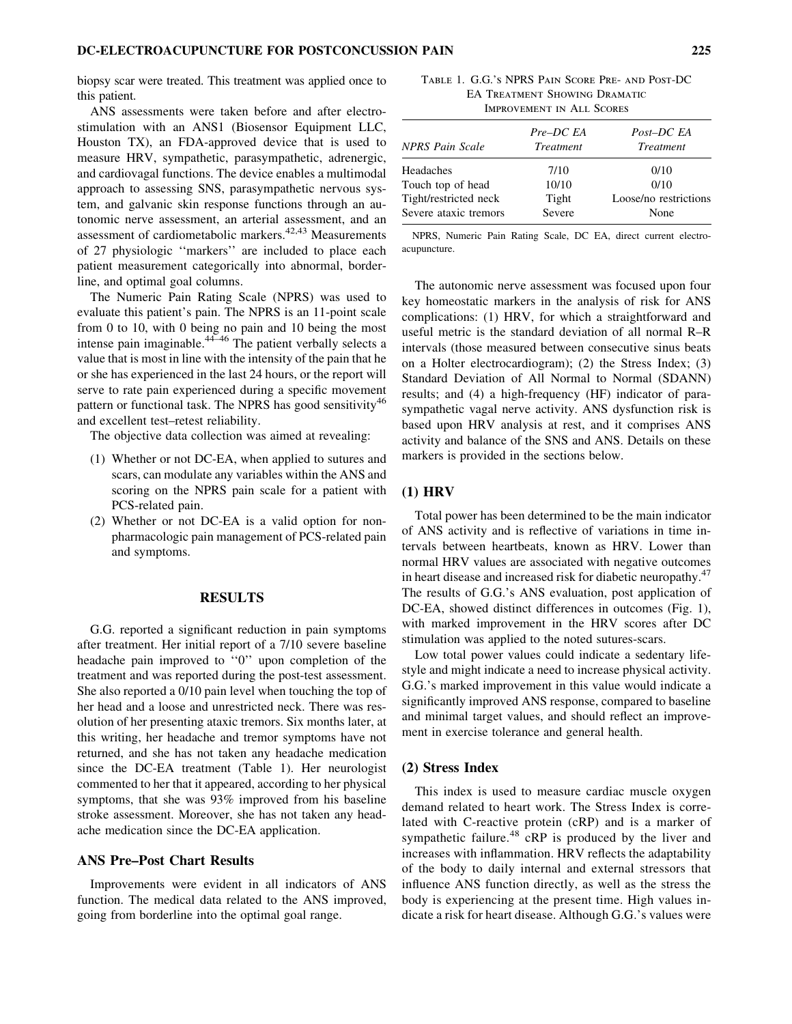biopsy scar were treated. This treatment was applied once to this patient.

ANS assessments were taken before and after electrostimulation with an ANS1 (Biosensor Equipment LLC, Houston TX), an FDA-approved device that is used to measure HRV, sympathetic, parasympathetic, adrenergic, and cardiovagal functions. The device enables a multimodal approach to assessing SNS, parasympathetic nervous system, and galvanic skin response functions through an autonomic nerve assessment, an arterial assessment, and an assessment of cardiometabolic markers. $42,43$  Measurements of 27 physiologic ''markers'' are included to place each patient measurement categorically into abnormal, borderline, and optimal goal columns.

The Numeric Pain Rating Scale (NPRS) was used to evaluate this patient's pain. The NPRS is an 11-point scale from 0 to 10, with 0 being no pain and 10 being the most intense pain imaginable.<sup>44–46</sup> The patient verbally selects a value that is most in line with the intensity of the pain that he or she has experienced in the last 24 hours, or the report will serve to rate pain experienced during a specific movement pattern or functional task. The NPRS has good sensitivity<sup>46</sup> and excellent test–retest reliability.

The objective data collection was aimed at revealing:

- (1) Whether or not DC-EA, when applied to sutures and scars, can modulate any variables within the ANS and scoring on the NPRS pain scale for a patient with PCS-related pain.
- (2) Whether or not DC-EA is a valid option for nonpharmacologic pain management of PCS-related pain and symptoms.

# RESULTS

G.G. reported a significant reduction in pain symptoms after treatment. Her initial report of a 7/10 severe baseline headache pain improved to ''0'' upon completion of the treatment and was reported during the post-test assessment. She also reported a 0/10 pain level when touching the top of her head and a loose and unrestricted neck. There was resolution of her presenting ataxic tremors. Six months later, at this writing, her headache and tremor symptoms have not returned, and she has not taken any headache medication since the DC-EA treatment (Table 1). Her neurologist commented to her that it appeared, according to her physical symptoms, that she was 93% improved from his baseline stroke assessment. Moreover, she has not taken any headache medication since the DC-EA application.

### ANS Pre–Post Chart Results

Improvements were evident in all indicators of ANS function. The medical data related to the ANS improved, going from borderline into the optimal goal range.

Table 1. G.G.'s NPRS Pain Score Pre- and Post-DC EA Treatment Showing Dramatic Improvement in All Scores

| NPRS Pain Scale       | Pre-DC EA<br>Treatment | Post-DC EA<br><b>Treatment</b> |
|-----------------------|------------------------|--------------------------------|
| Headaches             | 7/10                   | 0/10                           |
| Touch top of head     | 10/10                  | 0/10                           |
| Tight/restricted neck | Tight                  | Loose/no restrictions          |
| Severe ataxic tremors | Severe                 | None                           |

NPRS, Numeric Pain Rating Scale, DC EA, direct current electroacupuncture.

The autonomic nerve assessment was focused upon four key homeostatic markers in the analysis of risk for ANS complications: (1) HRV, for which a straightforward and useful metric is the standard deviation of all normal R–R intervals (those measured between consecutive sinus beats on a Holter electrocardiogram); (2) the Stress Index; (3) Standard Deviation of All Normal to Normal (SDANN) results; and (4) a high-frequency (HF) indicator of parasympathetic vagal nerve activity. ANS dysfunction risk is based upon HRV analysis at rest, and it comprises ANS activity and balance of the SNS and ANS. Details on these markers is provided in the sections below.

#### (1) HRV

Total power has been determined to be the main indicator of ANS activity and is reflective of variations in time intervals between heartbeats, known as HRV. Lower than normal HRV values are associated with negative outcomes in heart disease and increased risk for diabetic neuropathy. $47$ The results of G.G.'s ANS evaluation, post application of DC-EA, showed distinct differences in outcomes (Fig. 1), with marked improvement in the HRV scores after DC stimulation was applied to the noted sutures-scars.

Low total power values could indicate a sedentary lifestyle and might indicate a need to increase physical activity. G.G.'s marked improvement in this value would indicate a significantly improved ANS response, compared to baseline and minimal target values, and should reflect an improvement in exercise tolerance and general health.

#### (2) Stress Index

This index is used to measure cardiac muscle oxygen demand related to heart work. The Stress Index is correlated with C-reactive protein (cRP) and is a marker of sympathetic failure. $48$  cRP is produced by the liver and increases with inflammation. HRV reflects the adaptability of the body to daily internal and external stressors that influence ANS function directly, as well as the stress the body is experiencing at the present time. High values indicate a risk for heart disease. Although G.G.'s values were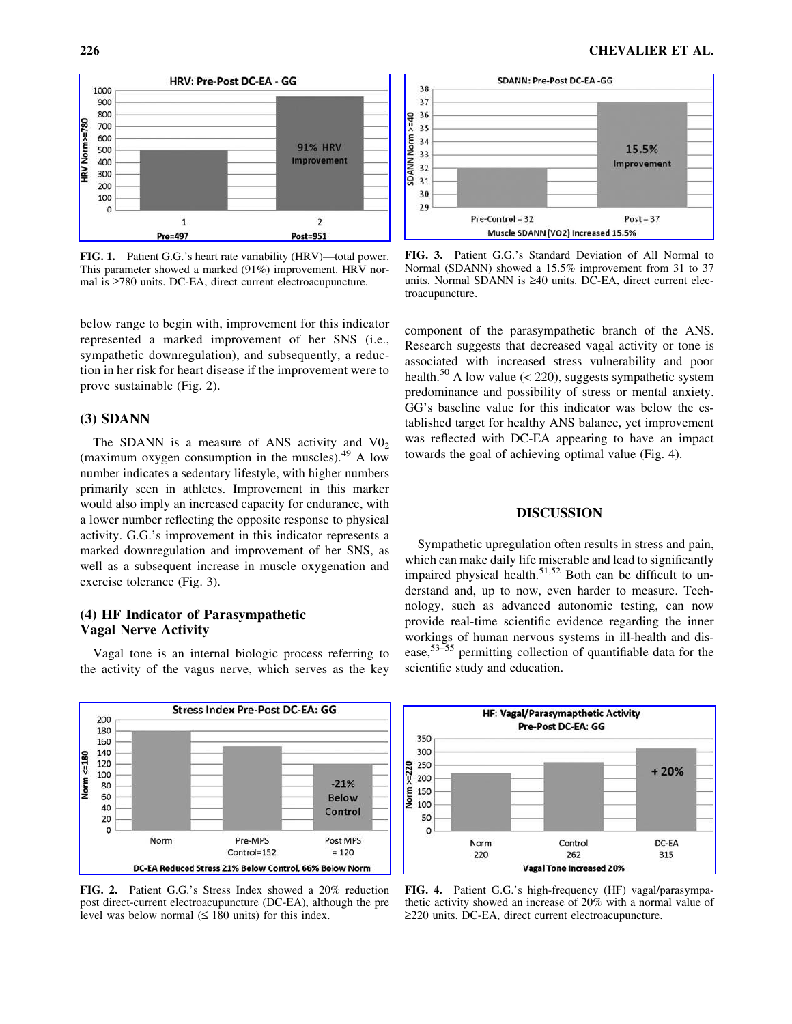

FIG. 1. Patient G.G.'s heart rate variability (HRV)—total power. This parameter showed a marked (91%) improvement. HRV normal is  $\geq$ 780 units. DC-EA, direct current electroacupuncture.

below range to begin with, improvement for this indicator represented a marked improvement of her SNS (i.e., sympathetic downregulation), and subsequently, a reduction in her risk for heart disease if the improvement were to prove sustainable (Fig. 2).

# (3) SDANN

The SDANN is a measure of ANS activity and  $V_0$ (maximum oxygen consumption in the muscles).<sup>49</sup> A low number indicates a sedentary lifestyle, with higher numbers primarily seen in athletes. Improvement in this marker would also imply an increased capacity for endurance, with a lower number reflecting the opposite response to physical activity. G.G.'s improvement in this indicator represents a marked downregulation and improvement of her SNS, as well as a subsequent increase in muscle oxygenation and exercise tolerance (Fig. 3).

# (4) HF Indicator of Parasympathetic Vagal Nerve Activity

Vagal tone is an internal biologic process referring to the activity of the vagus nerve, which serves as the key



FIG. 2. Patient G.G.'s Stress Index showed a 20% reduction post direct-current electroacupuncture (DC-EA), although the pre level was below normal  $( \leq 180 \text{ units})$  for this index.



FIG. 3. Patient G.G.'s Standard Deviation of All Normal to Normal (SDANN) showed a 15.5% improvement from 31 to 37 units. Normal SDANN is  $\geq 40$  units. DC-EA, direct current electroacupuncture.

Muscle SDANN (VO2) Increased 15.5%

component of the parasympathetic branch of the ANS. Research suggests that decreased vagal activity or tone is associated with increased stress vulnerability and poor health.<sup>50</sup> A low value (< 220), suggests sympathetic system predominance and possibility of stress or mental anxiety. GG's baseline value for this indicator was below the established target for healthy ANS balance, yet improvement was reflected with DC-EA appearing to have an impact towards the goal of achieving optimal value (Fig. 4).

# DISCUSSION

Sympathetic upregulation often results in stress and pain, which can make daily life miserable and lead to significantly impaired physical health. $51,52$  Both can be difficult to understand and, up to now, even harder to measure. Technology, such as advanced autonomic testing, can now provide real-time scientific evidence regarding the inner workings of human nervous systems in ill-health and disease,  $53-55$  permitting collection of quantifiable data for the scientific study and education.



FIG. 4. Patient G.G.'s high-frequency (HF) vagal/parasympathetic activity showed an increase of 20% with a normal value of  $\geq$ 220 units. DC-EA, direct current electroacupuncture.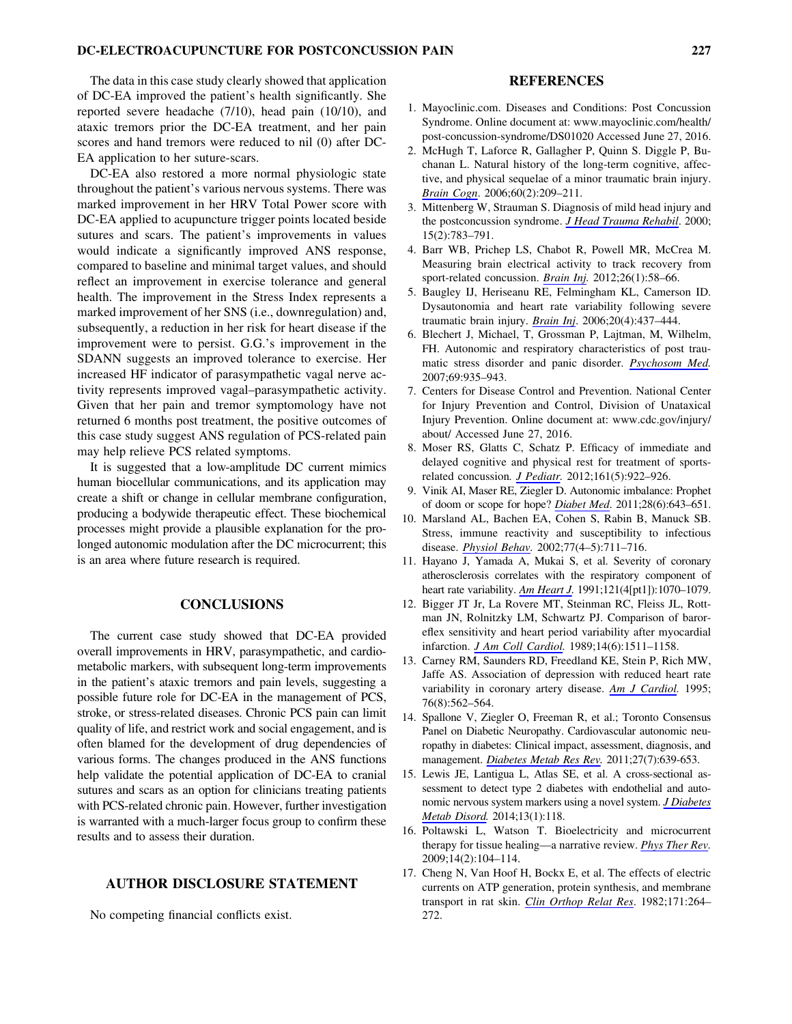#### DC-ELECTROACUPUNCTURE FOR POSTCONCUSSION PAIN 227

The data in this case study clearly showed that application of DC-EA improved the patient's health significantly. She reported severe headache (7/10), head pain (10/10), and ataxic tremors prior the DC-EA treatment, and her pain scores and hand tremors were reduced to nil (0) after DC-EA application to her suture-scars.

DC-EA also restored a more normal physiologic state throughout the patient's various nervous systems. There was marked improvement in her HRV Total Power score with DC-EA applied to acupuncture trigger points located beside sutures and scars. The patient's improvements in values would indicate a significantly improved ANS response, compared to baseline and minimal target values, and should reflect an improvement in exercise tolerance and general health. The improvement in the Stress Index represents a marked improvement of her SNS (i.e., downregulation) and, subsequently, a reduction in her risk for heart disease if the improvement were to persist. G.G.'s improvement in the SDANN suggests an improved tolerance to exercise. Her increased HF indicator of parasympathetic vagal nerve activity represents improved vagal–parasympathetic activity. Given that her pain and tremor symptomology have not returned 6 months post treatment, the positive outcomes of this case study suggest ANS regulation of PCS-related pain may help relieve PCS related symptoms.

It is suggested that a low-amplitude DC current mimics human biocellular communications, and its application may create a shift or change in cellular membrane configuration, producing a bodywide therapeutic effect. These biochemical processes might provide a plausible explanation for the prolonged autonomic modulation after the DC microcurrent; this is an area where future research is required.

# **CONCLUSIONS**

The current case study showed that DC-EA provided overall improvements in HRV, parasympathetic, and cardiometabolic markers, with subsequent long-term improvements in the patient's ataxic tremors and pain levels, suggesting a possible future role for DC-EA in the management of PCS, stroke, or stress-related diseases. Chronic PCS pain can limit quality of life, and restrict work and social engagement, and is often blamed for the development of drug dependencies of various forms. The changes produced in the ANS functions help validate the potential application of DC-EA to cranial sutures and scars as an option for clinicians treating patients with PCS-related chronic pain. However, further investigation is warranted with a much-larger focus group to confirm these results and to assess their duration.

# AUTHOR DISCLOSURE STATEMENT

No competing financial conflicts exist.

# **REFERENCES**

- 1. Mayoclinic.com. Diseases and Conditions: Post Concussion Syndrome. Online document at: www.mayoclinic.com/health/ post-concussion-syndrome/DS01020 Accessed June 27, 2016.
- 2. McHugh T, Laforce R, Gallagher P, Quinn S. Diggle P, Buchanan L. Natural history of the long-term cognitive, affective, and physical sequelae of a minor traumatic brain injury. [Brain Cogn](http://online.liebertpub.com/action/showLinks?pmid=16646125). 2006;60(2):209–211.
- 3. Mittenberg W, Strauman S. Diagnosis of mild head injury and the postconcussion syndrome. [J Head Trauma Rehabil](http://online.liebertpub.com/action/showLinks?pmid=10739967&crossref=10.1097%2F00001199-200004000-00003). 2000; 15(2):783–791.
- 4. Barr WB, Prichep LS, Chabot R, Powell MR, McCrea M. Measuring brain electrical activity to track recovery from sport-related concussion. [Brain Inj.](http://online.liebertpub.com/action/showLinks?pmid=22107157&crossref=10.3109%2F02699052.2011.608216) 2012;26(1):58-66.
- 5. Baugley IJ, Heriseanu RE, Felmingham KL, Camerson ID. Dysautonomia and heart rate variability following severe traumatic brain injury. [Brain Inj](http://online.liebertpub.com/action/showLinks?pmid=16716989&crossref=10.1080%2F02699050600664715). 2006;20(4):437–444.
- 6. Blechert J, Michael, T, Grossman P, Lajtman, M, Wilhelm, FH. Autonomic and respiratory characteristics of post traumatic stress disorder and panic disorder. [Psychosom Med.](http://online.liebertpub.com/action/showLinks?pmid=17991823&crossref=10.1097%2FPSY.0b013e31815a8f6b) 2007;69:935–943.
- 7. Centers for Disease Control and Prevention. National Center for Injury Prevention and Control, Division of Unataxical Injury Prevention. Online document at: www.cdc.gov/injury/ about/ Accessed June 27, 2016.
- 8. Moser RS, Glatts C, Schatz P. Efficacy of immediate and delayed cognitive and physical rest for treatment of sportsrelated concussion. [J Pediatr](http://online.liebertpub.com/action/showLinks?pmid=22622050&crossref=10.1016%2Fj.jpeds.2012.04.012). 2012;161(5):922–926.
- 9. Vinik AI, Maser RE, Ziegler D. Autonomic imbalance: Prophet of doom or scope for hope? [Diabet Med](http://online.liebertpub.com/action/showLinks?pmid=21569084&crossref=10.1111%2Fj.1464-5491.2010.03184.x). 2011;28(6):643–651.
- 10. Marsland AL, Bachen EA, Cohen S, Rabin B, Manuck SB. Stress, immune reactivity and susceptibility to infectious disease. [Physiol Behav](http://online.liebertpub.com/action/showLinks?pmid=12527024&crossref=10.1016%2FS0031-9384%2802%2900923-X). 2002;77(4–5):711–716.
- 11. Hayano J, Yamada A, Mukai S, et al. Severity of coronary atherosclerosis correlates with the respiratory component of heart rate variability. [Am Heart J](http://online.liebertpub.com/action/showLinks?pmid=2008828&crossref=10.1016%2F0002-8703%2891%2990664-4). 1991;121(4[pt1]):1070-1079.
- 12. Bigger JT Jr, La Rovere MT, Steinman RC, Fleiss JL, Rottman JN, Rolnitzky LM, Schwartz PJ. Comparison of baroreflex sensitivity and heart period variability after myocardial infarction. [J Am Coll Cardiol](http://online.liebertpub.com/action/showLinks?pmid=2809012&crossref=10.1016%2F0735-1097%2889%2990390-2). 1989;14(6):1511–1158.
- 13. Carney RM, Saunders RD, Freedland KE, Stein P, Rich MW, Jaffe AS. Association of depression with reduced heart rate variability in coronary artery disease. [Am J Cardiol](http://online.liebertpub.com/action/showLinks?pmid=7677077&crossref=10.1016%2FS0002-9149%2899%2980155-6). 1995; 76(8):562–564.
- 14. Spallone V, Ziegler O, Freeman R, et al.; Toronto Consensus Panel on Diabetic Neuropathy. Cardiovascular autonomic neuropathy in diabetes: Clinical impact, assessment, diagnosis, and management. [Diabetes Metab Res Rev](http://online.liebertpub.com/action/showLinks?pmid=21695768&crossref=10.1002%2Fdmrr.1239). 2011;27(7):639-653.
- 15. Lewis JE, Lantigua L, Atlas SE, et al. A cross-sectional assessment to detect type 2 diabetes with endothelial and autonomic nervous system markers using a novel system. [J Diabetes](http://online.liebertpub.com/action/showLinks?pmid=25530952&crossref=10.1186%2Fs40200-014-0118-x) [Metab Disord.](http://online.liebertpub.com/action/showLinks?pmid=25530952&crossref=10.1186%2Fs40200-014-0118-x) 2014;13(1):118.
- 16. Poltawski L, Watson T. Bioelectricity and microcurrent therapy for tissue healing—a narrative review. [Phys Ther Rev.](http://online.liebertpub.com/action/showLinks?crossref=10.1179%2F174328809X405973) 2009;14(2):104–114.
- 17. Cheng N, Van Hoof H, Bockx E, et al. The effects of electric currents on ATP generation, protein synthesis, and membrane transport in rat skin. [Clin Orthop Relat Res](http://online.liebertpub.com/action/showLinks?pmid=7140077). 1982;171:264-272.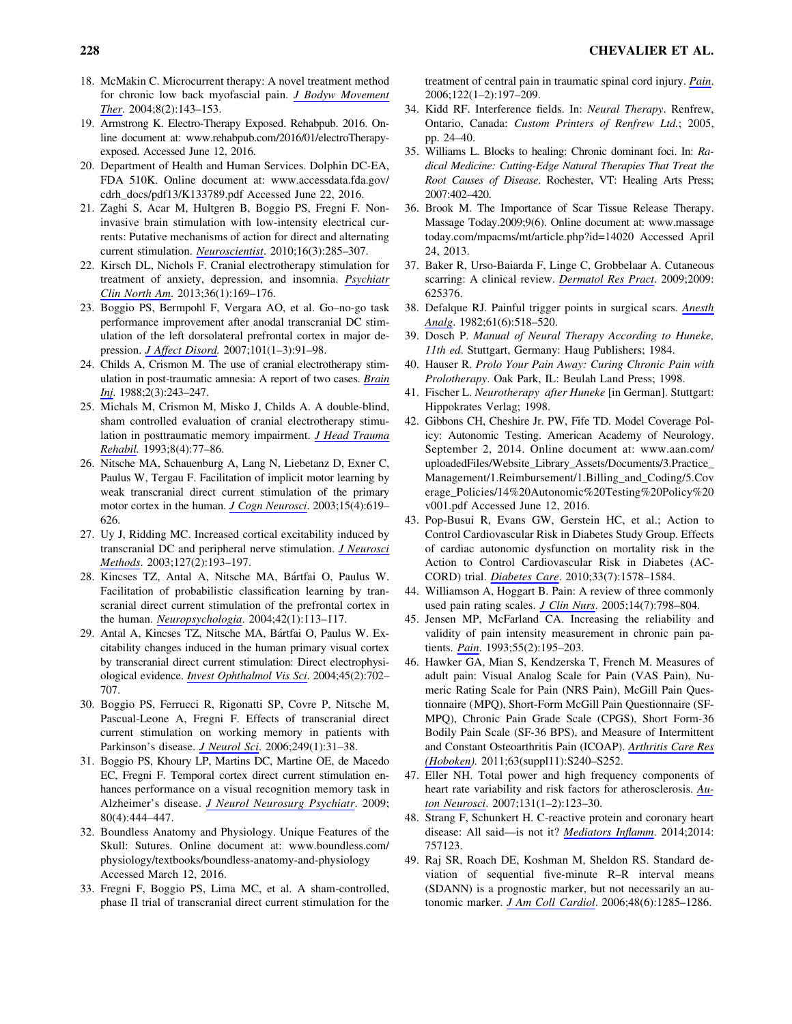- 18. McMakin C. Microcurrent therapy: A novel treatment method for chronic low back myofascial pain. [J Bodyw Movement](http://online.liebertpub.com/action/showLinks?crossref=10.1016%2Fj.jbmt.2003.12.006) [Ther](http://online.liebertpub.com/action/showLinks?crossref=10.1016%2Fj.jbmt.2003.12.006). 2004;8(2):143–153.
- 19. Armstrong K. Electro-Therapy Exposed. Rehabpub. 2016. Online document at: www.rehabpub.com/2016/01/electroTherapyexposed. Accessed June 12, 2016.
- 20. Department of Health and Human Services. Dolphin DC-EA, FDA 510K. Online document at: www.accessdata.fda.gov/ cdrh\_docs/pdf13/K133789.pdf Accessed June 22, 2016.
- 21. Zaghi S, Acar M, Hultgren B, Boggio PS, Fregni F. Noninvasive brain stimulation with low-intensity electrical currents: Putative mechanisms of action for direct and alternating current stimulation. [Neuroscientist](http://online.liebertpub.com/action/showLinks?pmid=20040569&crossref=10.1177%2F1073858409336227). 2010;16(3):285–307.
- 22. Kirsch DL, Nichols F. Cranial electrotherapy stimulation for treatment of anxiety, depression, and insomnia. [Psychiatr](http://online.liebertpub.com/action/showLinks?pmid=23538086&crossref=10.1016%2Fj.psc.2013.01.006) [Clin North Am](http://online.liebertpub.com/action/showLinks?pmid=23538086&crossref=10.1016%2Fj.psc.2013.01.006). 2013;36(1):169–176.
- 23. Boggio PS, Bermpohl F, Vergara AO, et al. Go–no-go task performance improvement after anodal transcranial DC stimulation of the left dorsolateral prefrontal cortex in major depression. [J Affect Disord.](http://online.liebertpub.com/action/showLinks?pmid=17166593&crossref=10.1016%2Fj.jad.2006.10.026) 2007;101(1–3):91–98.
- 24. Childs A, Crismon M. The use of cranial electrotherapy stimulation in post-traumatic amnesia: A report of two cases. [Brain](http://online.liebertpub.com/action/showLinks?pmid=3262394&crossref=10.3109%2F02699058809150948) [Inj](http://online.liebertpub.com/action/showLinks?pmid=3262394&crossref=10.3109%2F02699058809150948). 1988;2(3):243–247.
- 25. Michals M, Crismon M, Misko J, Childs A. A double-blind, sham controlled evaluation of cranial electrotherapy stimulation in posttraumatic memory impairment. [J Head Trauma](http://online.liebertpub.com/action/showLinks?crossref=10.1097%2F00001199-199312000-00008) [Rehabil.](http://online.liebertpub.com/action/showLinks?crossref=10.1097%2F00001199-199312000-00008) 1993;8(4):77–86.
- 26. Nitsche MA, Schauenburg A, Lang N, Liebetanz D, Exner C, Paulus W, Tergau F. Facilitation of implicit motor learning by weak transcranial direct current stimulation of the primary motor cortex in the human. [J Cogn Neurosci](http://online.liebertpub.com/action/showLinks?pmid=12803972&crossref=10.1162%2F089892903321662994). 2003;15(4):619– 626.
- 27. Uy J, Ridding MC. Increased cortical excitability induced by transcranial DC and peripheral nerve stimulation. *[J Neurosci](http://online.liebertpub.com/action/showLinks?pmid=12906948&crossref=10.1016%2FS0165-0270%2803%2900142-0)* [Methods](http://online.liebertpub.com/action/showLinks?pmid=12906948&crossref=10.1016%2FS0165-0270%2803%2900142-0). 2003;127(2):193–197.
- 28. Kincses TZ, Antal A, Nitsche MA, Ba´rtfai O, Paulus W. Facilitation of probabilistic classification learning by transcranial direct current stimulation of the prefrontal cortex in the human. [Neuropsychologia](http://online.liebertpub.com/action/showLinks?pmid=14615081&crossref=10.1016%2FS0028-3932%2803%2900124-6). 2004;42(1):113–117.
- 29. Antal A, Kincses TZ, Nitsche MA, Bártfai O, Paulus W. Excitability changes induced in the human primary visual cortex by transcranial direct current stimulation: Direct electrophysiological evidence. [Invest Ophthalmol Vis Sci](http://online.liebertpub.com/action/showLinks?pmid=14744917&crossref=10.1167%2Fiovs.03-0688). 2004;45(2):702– 707.
- 30. Boggio PS, Ferrucci R, Rigonatti SP, Covre P, Nitsche M, Pascual-Leone A, Fregni F. Effects of transcranial direct current stimulation on working memory in patients with Parkinson's disease. [J Neurol Sci](http://online.liebertpub.com/action/showLinks?pmid=16843494&crossref=10.1016%2Fj.jns.2006.05.062). 2006;249(1):31–38.
- 31. Boggio PS, Khoury LP, Martins DC, Martine OE, de Macedo EC, Fregni F. Temporal cortex direct current stimulation enhances performance on a visual recognition memory task in Alzheimer's disease. [J Neurol Neurosurg Psychiatr](http://online.liebertpub.com/action/showLinks?pmid=18977813&crossref=10.1136%2Fjnnp.2007.141853). 2009; 80(4):444–447.
- 32. Boundless Anatomy and Physiology. Unique Features of the Skull: Sutures. Online document at: www.boundless.com/ physiology/textbooks/boundless-anatomy-and-physiology Accessed March 12, 2016.
- 33. Fregni F, Boggio PS, Lima MC, et al. A sham-controlled, phase II trial of transcranial direct current stimulation for the

treatment of central pain in traumatic spinal cord injury. [Pain](http://online.liebertpub.com/action/showLinks?pmid=16564618&crossref=10.1016%2Fj.pain.2006.02.023). 2006;122(1–2):197–209.

- 34. Kidd RF. Interference fields. In: Neural Therapy. Renfrew, Ontario, Canada: Custom Printers of Renfrew Ltd.; 2005, pp. 24–40.
- 35. Williams L. Blocks to healing: Chronic dominant foci. In: Radical Medicine: Cutting-Edge Natural Therapies That Treat the Root Causes of Disease. Rochester, VT: Healing Arts Press; 2007:402–420.
- 36. Brook M. The Importance of Scar Tissue Release Therapy. Massage Today.2009;9(6). Online document at: www.massage today.com/mpacms/mt/article.php?id=14020 Accessed April 24, 2013.
- 37. Baker R, Urso-Baiarda F, Linge C, Grobbelaar A. Cutaneous scarring: A clinical review. *[Dermatol Res Pract](http://online.liebertpub.com/action/showLinks?pmid=20585482).* 2009;2009: 625376.
- 38. Defalque RJ. Painful trigger points in surgical scars. [Anesth](http://online.liebertpub.com/action/showLinks?pmid=7200742&crossref=10.1213%2F00000539-198206000-00008) [Analg](http://online.liebertpub.com/action/showLinks?pmid=7200742&crossref=10.1213%2F00000539-198206000-00008). 1982;61(6):518–520.
- 39. Dosch P. Manual of Neural Therapy According to Huneke, 11th ed. Stuttgart, Germany: Haug Publishers; 1984.
- 40. Hauser R. Prolo Your Pain Away: Curing Chronic Pain with Prolotherapy. Oak Park, IL: Beulah Land Press; 1998.
- 41. Fischer L. Neurotherapy after Huneke [in German]. Stuttgart: Hippokrates Verlag; 1998.
- 42. Gibbons CH, Cheshire Jr. PW, Fife TD. Model Coverage Policy: Autonomic Testing. American Academy of Neurology. September 2, 2014. Online document at: www.aan.com/ uploadedFiles/Website\_Library\_Assets/Documents/3.Practice\_ Management/1.Reimbursement/1.Billing\_and\_Coding/5.Cov erage\_Policies/14%20Autonomic%20Testing%20Policy%20 v001.pdf Accessed June 12, 2016.
- 43. Pop-Busui R, Evans GW, Gerstein HC, et al.; Action to Control Cardiovascular Risk in Diabetes Study Group. Effects of cardiac autonomic dysfunction on mortality risk in the Action to Control Cardiovascular Risk in Diabetes (AC-CORD) trial. [Diabetes Care](http://online.liebertpub.com/action/showLinks?pmid=20215456&crossref=10.2337%2Fdc10-0125). 2010;33(7):1578–1584.
- 44. Williamson A, Hoggart B. Pain: A review of three commonly used pain rating scales. *[J Clin Nurs](http://online.liebertpub.com/action/showLinks?pmid=16000093&crossref=10.1111%2Fj.1365-2702.2005.01121.x)*. 2005;14(7):798-804.
- 45. Jensen MP, McFarland CA. Increasing the reliability and validity of pain intensity measurement in chronic pain pa-tients. [Pain](http://online.liebertpub.com/action/showLinks?pmid=8309709&crossref=10.1016%2F0304-3959%2893%2990148-I). 1993;55(2):195-203.
- 46. Hawker GA, Mian S, Kendzerska T, French M. Measures of adult pain: Visual Analog Scale for Pain (VAS Pain), Numeric Rating Scale for Pain (NRS Pain), McGill Pain Questionnaire (MPQ), Short-Form McGill Pain Questionnaire (SF-MPQ), Chronic Pain Grade Scale (CPGS), Short Form-36 Bodily Pain Scale (SF-36 BPS), and Measure of Intermittent and Constant Osteoarthritis Pain (ICOAP). [Arthritis Care Res](http://online.liebertpub.com/action/showLinks?crossref=10.1002%2Facr.20543) [\(Hoboken](http://online.liebertpub.com/action/showLinks?crossref=10.1002%2Facr.20543)). 2011;63(suppl11):S240–S252.
- 47. Eller NH. Total power and high frequency components of heart rate variability and risk factors for atherosclerosis.  $\underline{Au}$ [ton Neurosci](http://online.liebertpub.com/action/showLinks?pmid=16987712&crossref=10.1016%2Fj.autneu.2006.08.002). 2007;131(1–2):123–30.
- 48. Strang F, Schunkert H. C-reactive protein and coronary heart disease: All said-is not it? [Mediators Inflamm](http://online.liebertpub.com/action/showLinks?pmid=24808639&crossref=10.1155%2F2014%2F757123). 2014;2014: 757123.
- 49. Raj SR, Roach DE, Koshman M, Sheldon RS. Standard deviation of sequential five-minute R–R interval means (SDANN) is a prognostic marker, but not necessarily an autonomic marker. [J Am Coll Cardiol](http://online.liebertpub.com/action/showLinks?pmid=16979024&crossref=10.1016%2Fj.jacc.2006.06.042). 2006;48(6):1285–1286.